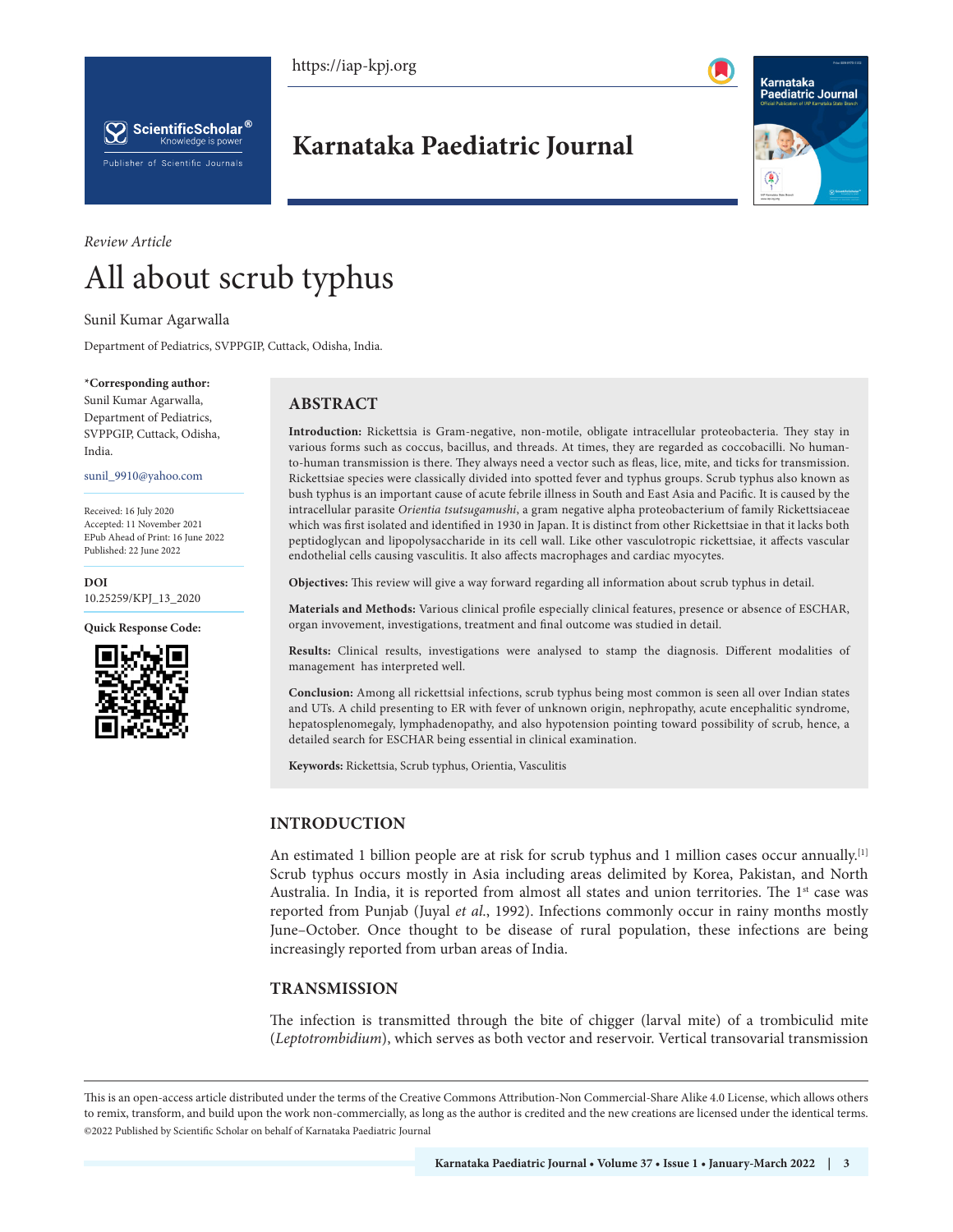https://iap-kpj.org



 $\left[\bigtimes\right]$  ScientificScholar  $^{\circledast}$ Knowledge is power Publisher of Scientific Journals

**Karnataka Paediatric Journal**



# *Review Article* All about scrub typhus

Sunil Kumar Agarwalla

Department of Pediatrics, SVPPGIP, Cuttack, Odisha, India.

#### **\*Corresponding author:**

Sunil Kumar Agarwalla, Department of Pediatrics, SVPPGIP, Cuttack, Odisha, India.

sunil\_9910@yahoo.com

Received: 16 July 2020 Accepted: 11 November 2021 EPub Ahead of Print: 16 June 2022 Published: 22 June 2022

#### **DOI** [10.25259/KPJ\\_13\\_2020](https://dx.doi.or/10.25259/KPJ_13_2020)

**Quick Response Code:**



# **ABSTRACT**

**Introduction:** Rickettsia is Gram-negative, non-motile, obligate intracellular proteobacteria. They stay in various forms such as coccus, bacillus, and threads. At times, they are regarded as coccobacilli. No humanto-human transmission is there. They always need a vector such as fleas, lice, mite, and ticks for transmission. Rickettsiae species were classically divided into spotted fever and typhus groups. Scrub typhus also known as bush typhus is an important cause of acute febrile illness in South and East Asia and Pacific. It is caused by the intracellular parasite *Orientia tsutsugamushi*, a gram negative alpha proteobacterium of family Rickettsiaceae which was first isolated and identified in 1930 in Japan. It is distinct from other Rickettsiae in that it lacks both peptidoglycan and lipopolysaccharide in its cell wall. Like other vasculotropic rickettsiae, it affects vascular endothelial cells causing vasculitis. It also affects macrophages and cardiac myocytes.

**Objectives:** This review will give a way forward regarding all information about scrub typhus in detail.

**Materials and Methods:** Various clinical profile especially clinical features, presence or absence of ESCHAR, organ invovement, investigations, treatment and final outcome was studied in detail.

**Results:** Clinical results, investigations were analysed to stamp the diagnosis. Different modalities of management has interpreted well.

**Conclusion:** Among all rickettsial infections, scrub typhus being most common is seen all over Indian states and UTs. A child presenting to ER with fever of unknown origin, nephropathy, acute encephalitic syndrome, hepatosplenomegaly, lymphadenopathy, and also hypotension pointing toward possibility of scrub, hence, a detailed search for ESCHAR being essential in clinical examination.

**Keywords:** Rickettsia, Scrub typhus, Orientia, Vasculitis

# **INTRODUCTION**

An estimated 1 billion people are at risk for scrub typhus and 1 million cases occur annually.<sup>[1]</sup> Scrub typhus occurs mostly in Asia including areas delimited by Korea, Pakistan, and North Australia. In India, it is reported from almost all states and union territories. The 1<sup>st</sup> case was reported from Punjab (Juyal *et al*., 1992). Infections commonly occur in rainy months mostly June–October. Once thought to be disease of rural population, these infections are being increasingly reported from urban areas of India.

# **TRANSMISSION**

The infection is transmitted through the bite of chigger (larval mite) of a trombiculid mite (*Leptotrombidium*), which serves as both vector and reservoir. Vertical transovarial transmission

This is an open-access article distributed under the terms of the Creative Commons Attribution-Non Commercial-Share Alike 4.0 License, which allows others to remix, transform, and build upon the work non-commercially, as long as the author is credited and the new creations are licensed under the identical terms. ©2022 Published by Scientific Scholar on behalf of Karnataka Paediatric Journal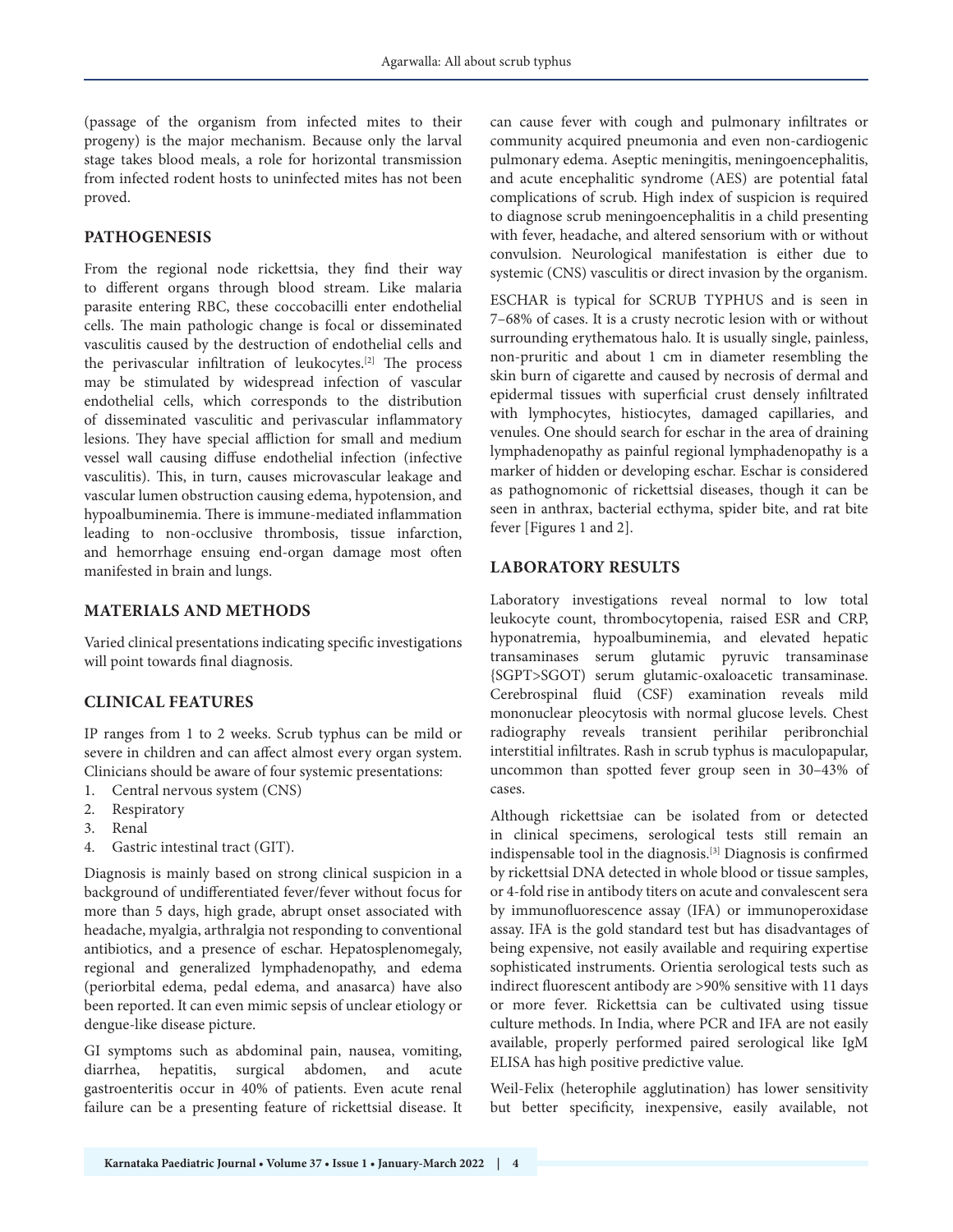(passage of the organism from infected mites to their progeny) is the major mechanism. Because only the larval stage takes blood meals, a role for horizontal transmission from infected rodent hosts to uninfected mites has not been proved.

#### **PATHOGENESIS**

From the regional node rickettsia, they find their way to different organs through blood stream. Like malaria parasite entering RBC, these coccobacilli enter endothelial cells. The main pathologic change is focal or disseminated vasculitis caused by the destruction of endothelial cells and the perivascular infiltration of leukocytes.[2] The process may be stimulated by widespread infection of vascular endothelial cells, which corresponds to the distribution of disseminated vasculitic and perivascular inflammatory lesions. They have special affliction for small and medium vessel wall causing diffuse endothelial infection (infective vasculitis). This, in turn, causes microvascular leakage and vascular lumen obstruction causing edema, hypotension, and hypoalbuminemia. There is immune-mediated inflammation leading to non-occlusive thrombosis, tissue infarction, and hemorrhage ensuing end-organ damage most often manifested in brain and lungs.

#### **MATERIALS AND METHODS**

Varied clinical presentations indicating specific investigations will point towards final diagnosis.

# **CLINICAL FEATURES**

IP ranges from 1 to 2 weeks. Scrub typhus can be mild or severe in children and can affect almost every organ system. Clinicians should be aware of four systemic presentations:

- 1. Central nervous system (CNS)
- 2. Respiratory
- 3. Renal
- 4. Gastric intestinal tract (GIT).

Diagnosis is mainly based on strong clinical suspicion in a background of undifferentiated fever/fever without focus for more than 5 days, high grade, abrupt onset associated with headache, myalgia, arthralgia not responding to conventional antibiotics, and a presence of eschar. Hepatosplenomegaly, regional and generalized lymphadenopathy, and edema (periorbital edema, pedal edema, and anasarca) have also been reported. It can even mimic sepsis of unclear etiology or dengue-like disease picture.

GI symptoms such as abdominal pain, nausea, vomiting, diarrhea, hepatitis, surgical abdomen, and acute gastroenteritis occur in 40% of patients. Even acute renal failure can be a presenting feature of rickettsial disease. It

can cause fever with cough and pulmonary infiltrates or community acquired pneumonia and even non-cardiogenic pulmonary edema. Aseptic meningitis, meningoencephalitis, and acute encephalitic syndrome (AES) are potential fatal complications of scrub. High index of suspicion is required to diagnose scrub meningoencephalitis in a child presenting with fever, headache, and altered sensorium with or without convulsion. Neurological manifestation is either due to systemic (CNS) vasculitis or direct invasion by the organism.

ESCHAR is typical for SCRUB TYPHUS and is seen in 7–68% of cases. It is a crusty necrotic lesion with or without surrounding erythematous halo. It is usually single, painless, non-pruritic and about 1 cm in diameter resembling the skin burn of cigarette and caused by necrosis of dermal and epidermal tissues with superficial crust densely infiltrated with lymphocytes, histiocytes, damaged capillaries, and venules. One should search for eschar in the area of draining lymphadenopathy as painful regional lymphadenopathy is a marker of hidden or developing eschar. Eschar is considered as pathognomonic of rickettsial diseases, though it can be seen in anthrax, bacterial ecthyma, spider bite, and rat bite fever [Figures 1 and 2].

#### **LABORATORY RESULTS**

Laboratory investigations reveal normal to low total leukocyte count, thrombocytopenia, raised ESR and CRP, hyponatremia, hypoalbuminemia, and elevated hepatic transaminases serum glutamic pyruvic transaminase {SGPT>SGOT) serum glutamic-oxaloacetic transaminase. Cerebrospinal fluid (CSF) examination reveals mild mononuclear pleocytosis with normal glucose levels. Chest radiography reveals transient perihilar peribronchial interstitial infiltrates. Rash in scrub typhus is maculopapular, uncommon than spotted fever group seen in 30–43% of cases.

Although rickettsiae can be isolated from or detected in clinical specimens, serological tests still remain an indispensable tool in the diagnosis.[3] Diagnosis is confirmed by rickettsial DNA detected in whole blood or tissue samples, or 4-fold rise in antibody titers on acute and convalescent sera by immunofluorescence assay (IFA) or immunoperoxidase assay. IFA is the gold standard test but has disadvantages of being expensive, not easily available and requiring expertise sophisticated instruments. Orientia serological tests such as indirect fluorescent antibody are >90% sensitive with 11 days or more fever. Rickettsia can be cultivated using tissue culture methods. In India, where PCR and IFA are not easily available, properly performed paired serological like IgM ELISA has high positive predictive value.

Weil-Felix (heterophile agglutination) has lower sensitivity but better specificity, inexpensive, easily available, not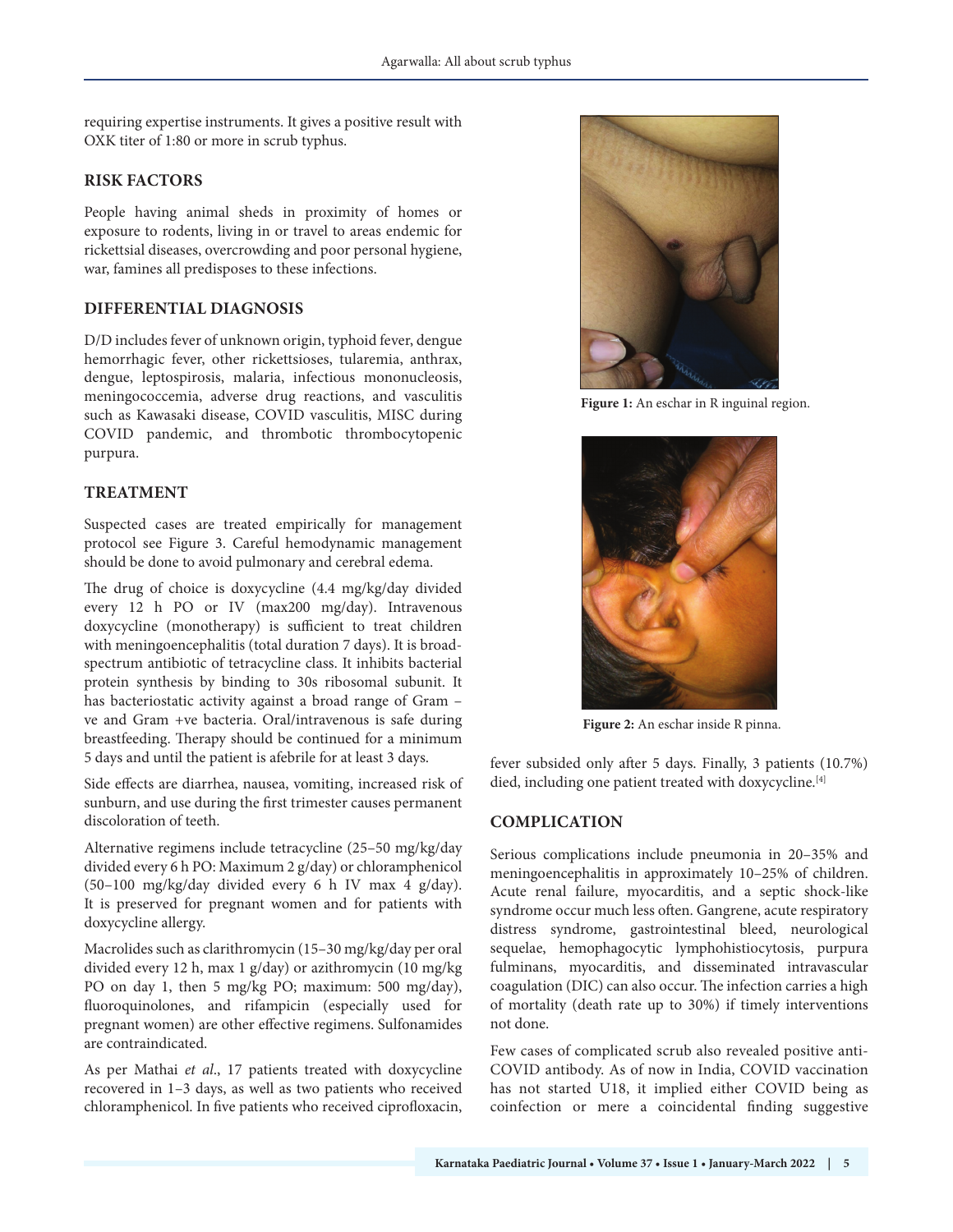requiring expertise instruments. It gives a positive result with OXK titer of 1:80 or more in scrub typhus.

# **RISK FACTORS**

People having animal sheds in proximity of homes or exposure to rodents, living in or travel to areas endemic for rickettsial diseases, overcrowding and poor personal hygiene, war, famines all predisposes to these infections.

# **DIFFERENTIAL DIAGNOSIS**

D/D includes fever of unknown origin, typhoid fever, dengue hemorrhagic fever, other rickettsioses, tularemia, anthrax, dengue, leptospirosis, malaria, infectious mononucleosis, meningococcemia, adverse drug reactions, and vasculitis such as Kawasaki disease, COVID vasculitis, MISC during COVID pandemic, and thrombotic thrombocytopenic purpura.

# **TREATMENT**

Suspected cases are treated empirically for management protocol see Figure 3. Careful hemodynamic management should be done to avoid pulmonary and cerebral edema.

The drug of choice is doxycycline (4.4 mg/kg/day divided every 12 h PO or IV (max200 mg/day). Intravenous doxycycline (monotherapy) is sufficient to treat children with meningoencephalitis (total duration 7 days). It is broadspectrum antibiotic of tetracycline class. It inhibits bacterial protein synthesis by binding to 30s ribosomal subunit. It has bacteriostatic activity against a broad range of Gram – ve and Gram +ve bacteria. Oral/intravenous is safe during breastfeeding. Therapy should be continued for a minimum 5 days and until the patient is afebrile for at least 3 days.

Side effects are diarrhea, nausea, vomiting, increased risk of sunburn, and use during the first trimester causes permanent discoloration of teeth.

Alternative regimens include tetracycline (25–50 mg/kg/day divided every 6 h PO: Maximum 2 g/day) or chloramphenicol (50–100 mg/kg/day divided every 6 h IV max 4 g/day). It is preserved for pregnant women and for patients with doxycycline allergy.

Macrolides such as clarithromycin (15–30 mg/kg/day per oral divided every 12 h, max 1 g/day) or azithromycin (10 mg/kg PO on day 1, then 5 mg/kg PO; maximum: 500 mg/day), fluoroquinolones, and rifampicin (especially used for pregnant women) are other effective regimens. Sulfonamides are contraindicated.

As per Mathai *et al*., 17 patients treated with doxycycline recovered in 1–3 days, as well as two patients who received chloramphenicol. In five patients who received ciprofloxacin,



**Figure 1:** An eschar in R inguinal region.



**Figure 2:** An eschar inside R pinna.

fever subsided only after 5 days. Finally, 3 patients (10.7%) died, including one patient treated with doxycycline.<sup>[4]</sup>

# **COMPLICATION**

Serious complications include pneumonia in 20–35% and meningoencephalitis in approximately 10–25% of children. Acute renal failure, myocarditis, and a septic shock-like syndrome occur much less often. Gangrene, acute respiratory distress syndrome, gastrointestinal bleed, neurological sequelae, hemophagocytic lymphohistiocytosis, purpura fulminans, myocarditis, and disseminated intravascular coagulation (DIC) can also occur. The infection carries a high of mortality (death rate up to 30%) if timely interventions not done.

Few cases of complicated scrub also revealed positive anti-COVID antibody. As of now in India, COVID vaccination has not started U18, it implied either COVID being as coinfection or mere a coincidental finding suggestive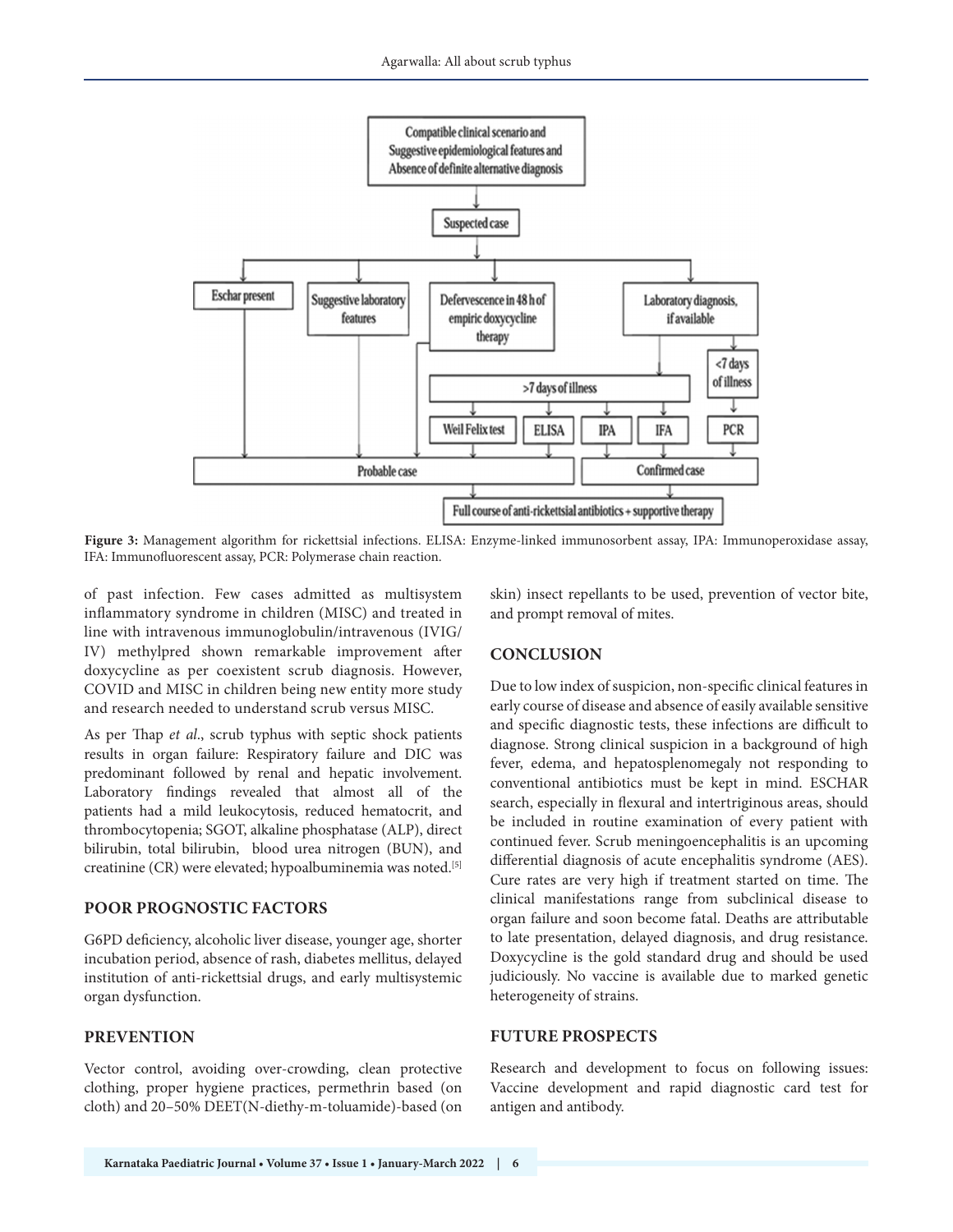

**Figure 3:** Management algorithm for rickettsial infections. ELISA: Enzyme-linked immunosorbent assay, IPA: Immunoperoxidase assay, IFA: Immunofluorescent assay, PCR: Polymerase chain reaction.

of past infection. Few cases admitted as multisystem inflammatory syndrome in children (MISC) and treated in line with intravenous immunoglobulin/intravenous (IVIG/ IV) methylpred shown remarkable improvement after doxycycline as per coexistent scrub diagnosis. However, COVID and MISC in children being new entity more study and research needed to understand scrub versus MISC.

As per Thap *et al*., scrub typhus with septic shock patients results in organ failure: Respiratory failure and DIC was predominant followed by renal and hepatic involvement. Laboratory findings revealed that almost all of the patients had a mild leukocytosis, reduced hematocrit, and thrombocytopenia; SGOT, alkaline phosphatase (ALP), direct bilirubin, total bilirubin, blood urea nitrogen (BUN), and creatinine (CR) were elevated; hypoalbuminemia was noted.[5]

# **POOR PROGNOSTIC FACTORS**

G6PD deficiency, alcoholic liver disease, younger age, shorter incubation period, absence of rash, diabetes mellitus, delayed institution of anti-rickettsial drugs, and early multisystemic organ dysfunction.

# **PREVENTION**

Vector control, avoiding over-crowding, clean protective clothing, proper hygiene practices, permethrin based (on cloth) and 20–50% DEET(N-diethy-m-toluamide)-based (on skin) insect repellants to be used, prevention of vector bite, and prompt removal of mites.

# **CONCLUSION**

Due to low index of suspicion, non-specific clinical features in early course of disease and absence of easily available sensitive and specific diagnostic tests, these infections are difficult to diagnose. Strong clinical suspicion in a background of high fever, edema, and hepatosplenomegaly not responding to conventional antibiotics must be kept in mind. ESCHAR search, especially in flexural and intertriginous areas, should be included in routine examination of every patient with continued fever. Scrub meningoencephalitis is an upcoming differential diagnosis of acute encephalitis syndrome (AES). Cure rates are very high if treatment started on time. The clinical manifestations range from subclinical disease to organ failure and soon become fatal. Deaths are attributable to late presentation, delayed diagnosis, and drug resistance. Doxycycline is the gold standard drug and should be used judiciously. No vaccine is available due to marked genetic heterogeneity of strains.

# **FUTURE PROSPECTS**

Research and development to focus on following issues: Vaccine development and rapid diagnostic card test for antigen and antibody.